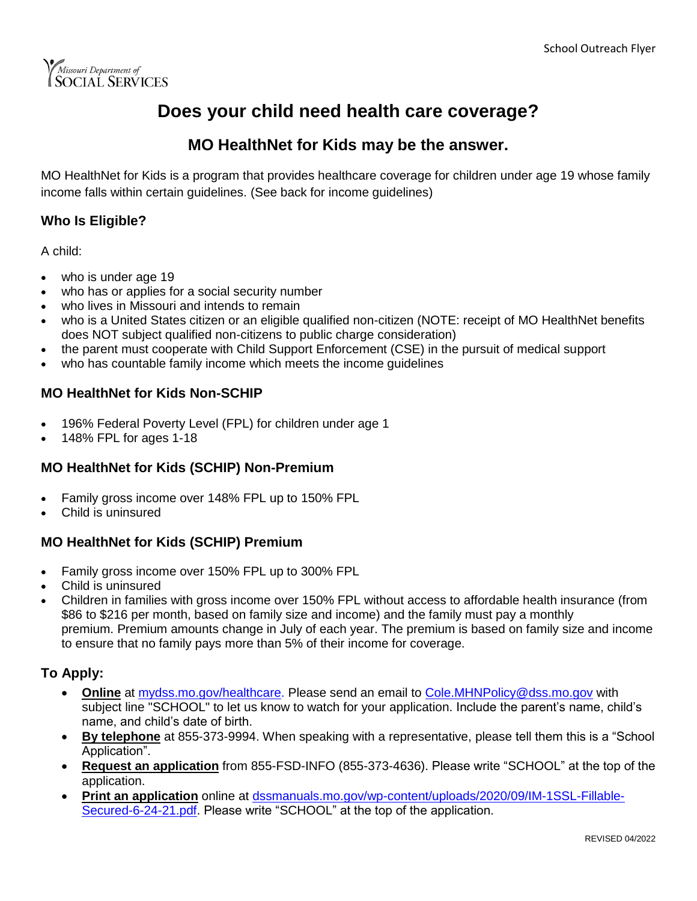

## **Does your child need health care coverage?**

### **MO HealthNet for Kids may be the answer.**

MO HealthNet for Kids is a program that provides healthcare coverage for children under age 19 whose family income falls within certain guidelines. (See back for income guidelines)

#### **Who Is Eligible?**

A child:

- who is under age 19
- who has or applies for a social security number
- who lives in Missouri and intends to remain
- who is a United States citizen or an eligible qualified non-citizen (NOTE: receipt of MO HealthNet benefits does NOT subject qualified non-citizens to public charge consideration)
- the parent must cooperate with Child Support Enforcement (CSE) in the pursuit of medical support
- who has countable family income which meets the income guidelines

#### **MO HealthNet for Kids Non-SCHIP**

- 196% Federal Poverty Level (FPL) for children under age 1
- 148% FPL for ages 1-18

#### **MO HealthNet for Kids (SCHIP) Non-Premium**

- Family gross income over 148% FPL up to 150% FPL
- Child is uninsured

#### **MO HealthNet for Kids (SCHIP) Premium**

- Family gross income over 150% FPL up to 300% FPL
- Child is uninsured
- Children in families with gross income over 150% FPL without access to affordable health insurance (from \$86 to \$216 per month, based on family size and income) and the family must pay a monthly premium. Premium amounts change in July of each year. The premium is based on family size and income to ensure that no family pays more than 5% of their income for coverage.

#### **To Apply:**

- **Online** at [mydss.mo.gov/healthcare.](https://mydss.mo.gov/healthcare) Please send an email to [Cole.MHNPolicy@dss.mo.gov](mailto:cole.mhnpolicy@dss.mo.gov) with subject line "SCHOOL" to let us know to watch for your application. Include the parent's name, child's name, and child's date of birth.
- **By telephone** at 855-373-9994. When speaking with a representative, please tell them this is a "School Application".
- **Request an application** from 855-FSD-INFO (855-373-4636). Please write "SCHOOL" at the top of the application.
- **Print an application** online at [dssmanuals.mo.gov/wp-content/uploads/2020/09/IM-1SSL-Fillable-](https://dssmanuals.mo.gov/wp-content/uploads/2020/09/IM-1SSL-Fillable-Secured-6-24-21.pdf)[Secured-6-24-21.pdf.](https://dssmanuals.mo.gov/wp-content/uploads/2020/09/IM-1SSL-Fillable-Secured-6-24-21.pdf) Please write "SCHOOL" at the top of the application.